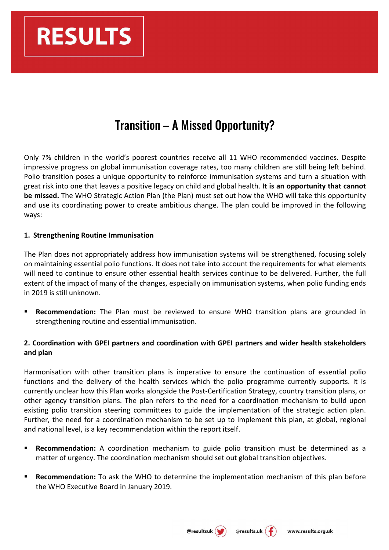

# Transition – A Missed Opportunity?

Only 7% children in the world's poorest countries receive all 11 WHO recommended vaccines. Despite impressive progress on global immunisation coverage rates, too many children are still being left behind. Polio transition poses a unique opportunity to reinforce immunisation systems and turn a situation with great risk into one that leaves a positive legacy on child and global health. It is an opportunity that cannot **be missed.** The WHO Strategic Action Plan (the Plan) must set out how the WHO will take this opportunity and use its coordinating power to create ambitious change. The plan could be improved in the following ways:

#### 1. Strengthening Routine Immunisation

The Plan does not appropriately address how immunisation systems will be strengthened, focusing solely on maintaining essential polio functions. It does not take into account the requirements for what elements will need to continue to ensure other essential health services continue to be delivered. Further, the full extent of the impact of many of the changes, especially on immunisation systems, when polio funding ends in 2019 is still unknown.

**Recommendation:** The Plan must be reviewed to ensure WHO transition plans are grounded in strengthening routine and essential immunisation.

## **2. Coordination with GPEI partners and coordination with GPEI partners and wider health stakeholders and plan**

Harmonisation with other transition plans is imperative to ensure the continuation of essential polio functions and the delivery of the health services which the polio programme currently supports. It is currently unclear how this Plan works alongside the Post-Certification Strategy, country transition plans, or other agency transition plans. The plan refers to the need for a coordination mechanism to build upon existing polio transition steering committees to guide the implementation of the strategic action plan. Further, the need for a coordination mechanism to be set up to implement this plan, at global, regional and national level, is a key recommendation within the report itself.

- **Recommendation:** A coordination mechanism to guide polio transition must be determined as a matter of urgency. The coordination mechanism should set out global transition objectives.
- **Recommendation:** To ask the WHO to determine the implementation mechanism of this plan before the WHO Executive Board in January 2019.



@results.uk